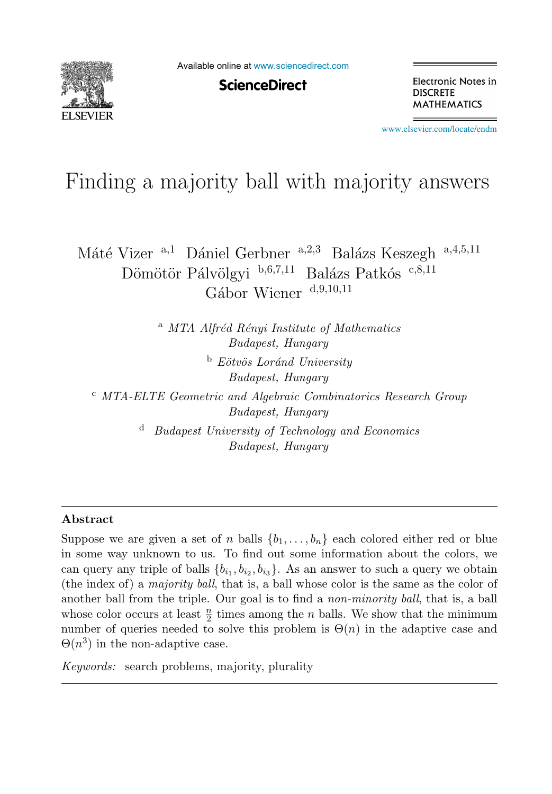

Available online at [www.sciencedirect.com](http://www.sciencedirect.com)

**ScienceDirect** 

Electronic Notes in **DISCRETE MATHEMATICS** 

[www.elsevier.com/locate/endm](http://www.elsevier.com/locate/endm)

# Finding a majority ball with majority answers

Máté Vizer <sup>a,1</sup> Dániel Gerbner <sup>a,2,3</sup> Balázs Keszegh <sup>a,4,5,11</sup> Dömötör Pálvölgyi  $b,6,7,11$  Balázs Patkós c,8,11 Gábor Wiener  $d,9,10,11$ 

> <sup>a</sup> MTA Alfréd Rényi Institute of Mathematics *Budapest, Hungary*

> > <sup>b</sup> *E¨otv¨os Lor´and University Budapest, Hungary*

<sup>c</sup> *MTA-ELTE Geometric and Algebraic Combinatorics Research Group Budapest, Hungary*

> <sup>d</sup> *Budapest University of Technology and Economics Budapest, Hungary*

#### **Abstract**

Suppose we are given a set of n balls  $\{b_1,\ldots,b_n\}$  each colored either red or blue in some way unknown to us. To find out some information about the colors, we can query any triple of balls  $\{b_{i_1}, b_{i_2}, b_{i_3}\}$ . As an answer to such a query we obtain (the index of) a *majority ball*, that is, a ball whose color is the same as the color of another ball from the triple. Our goal is to find a *non-minority ball*, that is, a ball whose color occurs at least  $\frac{n}{2}$  times among the *n* balls. We show that the minimum number of queries needed to solve this problem is  $\Theta(n)$  in the adaptive case and  $\Theta(n^3)$  in the non-adaptive case.

*Keywords:* search problems, majority, plurality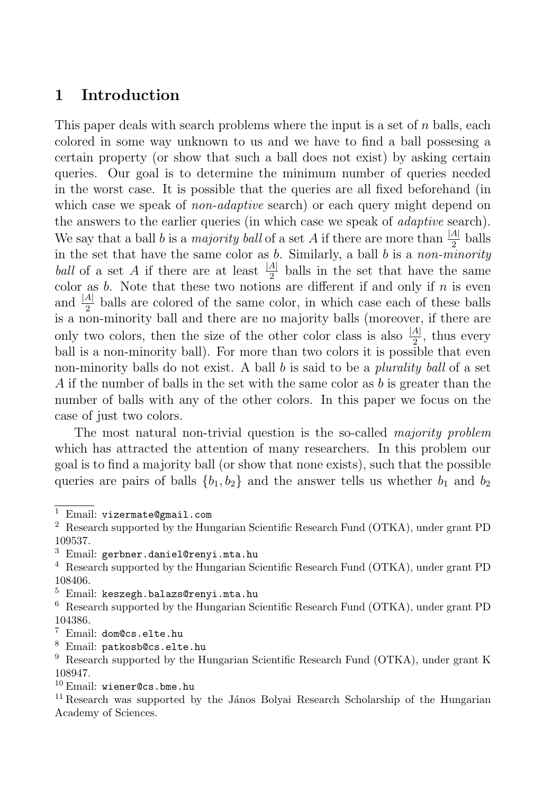## **1 Introduction**

This paper deals with search problems where the input is a set of  $n$  balls, each colored in some way unknown to us and we have to find a ball possesing a certain property (or show that such a ball does not exist) by asking certain queries. Our goal is to determine the minimum number of queries needed in the worst case. It is possible that the queries are all fixed beforehand (in which case we speak of *non-adaptive* search) or each query might depend on the answers to the earlier queries (in which case we speak of *adaptive* search). We say that a ball b is a *majority ball* of a set A if there are more than  $\frac{|A|}{2}$  balls in the set that have the same color as  $b$ . Similarly, a ball  $b$  is a non-minority ball of a set A if there are at least  $\frac{|A|}{2}$  balls in the set that have the same color as  $b$ . Note that these two notions are different if and only if  $n$  is even and  $\frac{|A|}{2}$  balls are colored of the same color, in which case each of these balls is a non-minority ball and there are no majority balls (moreover, if there are only two colors, then the size of the other color class is also  $\frac{|A|}{2}$ , thus every ball is a non-minority ball). For more than two colors it is possible that even non-minority balls do not exist. A ball b is said to be a *plurality ball* of a set A if the number of balls in the set with the same color as  $b$  is greater than the number of balls with any of the other colors. In this paper we focus on the case of just two colors.

The most natural non-trivial question is the so-called *majority problem* which has attracted the attention of many researchers. In this problem our goal is to find a majority ball (or show that none exists), such that the possible queries are pairs of balls  ${b_1, b_2}$  and the answer tells us whether  $b_1$  and  $b_2$ 

<sup>3</sup> Email: gerbner.daniel@renyi.mta.hu

<sup>8</sup> Email: patkosb@cs.elte.hu

<sup>1</sup> Email: vizermate@gmail.com

<sup>2</sup> Research supported by the Hungarian Scientific Research Fund (OTKA), under grant PD 109537.

<sup>4</sup> Research supported by the Hungarian Scientific Research Fund (OTKA), under grant PD 108406.

<sup>5</sup> Email: keszegh.balazs@renyi.mta.hu

<sup>6</sup> Research supported by the Hungarian Scientific Research Fund (OTKA), under grant PD 104386.

<sup>7</sup> Email: dom@cs.elte.hu

<sup>9</sup> Research supported by the Hungarian Scientific Research Fund (OTKA), under grant K 108947.

 $10$  Email: wiener@cs.bme.hu

<sup>&</sup>lt;sup>11</sup> Research was supported by the János Bolyai Research Scholarship of the Hungarian Academy of Sciences.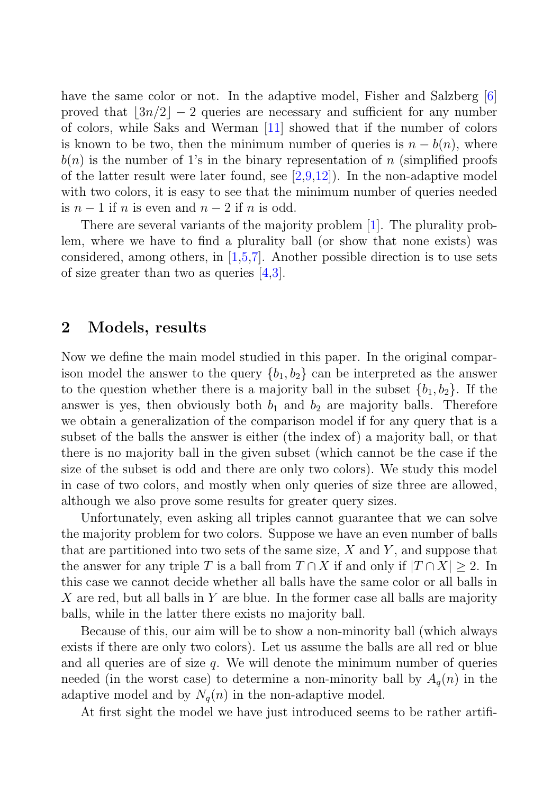have the same color or not. In the adaptive model, Fisher and Salzberg [6] proved that  $\lfloor 3n/2 \rfloor - 2$  queries are necessary and sufficient for any number of colors, while Saks and Werman [11] showed that if the number of colors is known to be two, then the minimum number of queries is  $n - b(n)$ , where  $b(n)$  is the number of 1's in the binary representation of n (simplified proofs of the latter result were later found, see  $[2,9,12]$ ). In the non-adaptive model with two colors, it is easy to see that the minimum number of queries needed is  $n-1$  if n is even and  $n-2$  if n is odd.

There are several variants of the majority problem [1]. The plurality problem, where we have to find a plurality ball (or show that none exists) was considered, among others, in [1,5,7]. Another possible direction is to use sets of size greater than two as queries  $(4,3)$ .

#### **2 Models, results**

Now we define the main model studied in this paper. In the original comparison model the answer to the query  $\{b_1, b_2\}$  can be interpreted as the answer to the question whether there is a majority ball in the subset  ${b_1, b_2}$ . If the answer is yes, then obviously both  $b_1$  and  $b_2$  are majority balls. Therefore we obtain a generalization of the comparison model if for any query that is a subset of the balls the answer is either (the index of) a majority ball, or that there is no majority ball in the given subset (which cannot be the case if the size of the subset is odd and there are only two colors). We study this model in case of two colors, and mostly when only queries of size three are allowed, although we also prove some results for greater query sizes.

Unfortunately, even asking all triples cannot guarantee that we can solve the majority problem for two colors. Suppose we have an even number of balls that are partitioned into two sets of the same size,  $X$  and  $Y$ , and suppose that the answer for any triple T is a ball from  $T \cap X$  if and only if  $|T \cap X| \geq 2$ . In this case we cannot decide whether all balls have the same color or all balls in X are red, but all balls in Y are blue. In the former case all balls are majority balls, while in the latter there exists no majority ball.

Because of this, our aim will be to show a non-minority ball (which always exists if there are only two colors). Let us assume the balls are all red or blue and all queries are of size  $q$ . We will denote the minimum number of queries needed (in the worst case) to determine a non-minority ball by  $A_q(n)$  in the adaptive model and by  $N_q(n)$  in the non-adaptive model.

At first sight the model we have just introduced seems to be rather artifi-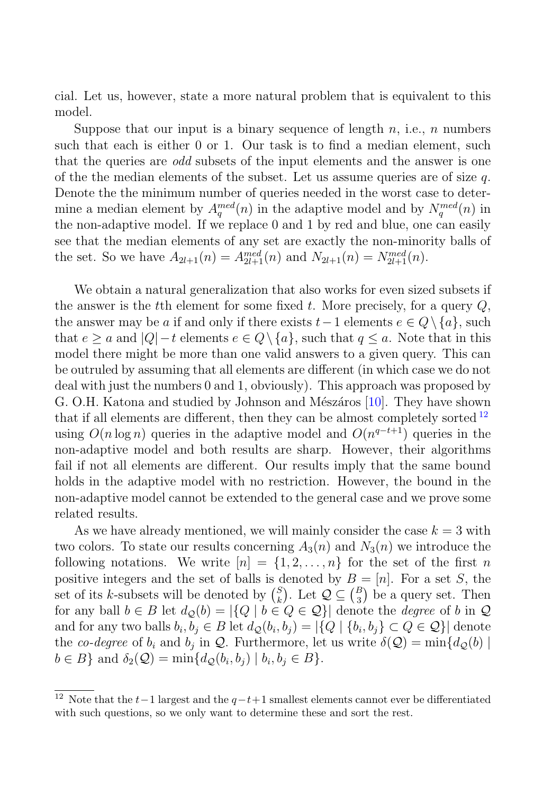cial. Let us, however, state a more natural problem that is equivalent to this model.

Suppose that our input is a binary sequence of length  $n$ , i.e.,  $n$  numbers such that each is either 0 or 1. Our task is to find a median element, such that the queries are *odd* subsets of the input elements and the answer is one of the the median elements of the subset. Let us assume queries are of size  $q$ . Denote the the minimum number of queries needed in the worst case to determine a median element by  $A_q^{med}(n)$  in the adaptive model and by  $N_q^{med}(n)$  in the non-adaptive model. If we replace 0 and 1 by red and blue, one can easily see that the median elements of any set are exactly the non-minority balls of the set. So we have  $A_{2l+1}(n) = A_{2l+1}(n)$  and  $N_{2l+1}(n) = N_{2l+1}(n)$ .

We obtain a natural generalization that also works for even sized subsets if the answer is the tth element for some fixed t. More precisely, for a query  $Q$ , the answer may be a if and only if there exists  $t-1$  elements  $e \in Q \setminus \{a\}$ , such that  $e \ge a$  and  $|Q| - t$  elements  $e \in Q \setminus \{a\}$ , such that  $q \le a$ . Note that in this model there might be more than one valid answers to a given query. This can be outruled by assuming that all elements are different (in which case we do not deal with just the numbers 0 and 1, obviously). This approach was proposed by G. O.H. Katona and studied by Johnson and Mészáros [10]. They have shown that if all elements are different, then they can be almost completely sorted  $^{12}$ using  $O(n \log n)$  queries in the adaptive model and  $O(n^{q-t+1})$  queries in the non-adaptive model and both results are sharp. However, their algorithms fail if not all elements are different. Our results imply that the same bound holds in the adaptive model with no restriction. However, the bound in the non-adaptive model cannot be extended to the general case and we prove some related results.

As we have already mentioned, we will mainly consider the case  $k = 3$  with two colors. To state our results concerning  $A_3(n)$  and  $N_3(n)$  we introduce the following notations. We write  $[n] = \{1, 2, ..., n\}$  for the set of the first n positive integers and the set of balls is denoted by  $B = [n]$ . For a set S, the set of its k-subsets will be denoted by  $\binom{S}{k}$  $\mathcal{L}_{k}^{S}$ ). Let  $\mathcal{Q} \subseteq {B \choose 3}$  $\binom{B}{3}$  be a query set. Then for any ball  $b \in B$  let  $d_{\mathcal{Q}}(b) = |\{Q \mid b \in Q \in \mathcal{Q}\}|$  denote the *degree* of b in  $\mathcal Q$ and for any two balls  $b_i, b_j \in B$  let  $d_{\mathcal{Q}}(b_i, b_j) = |\{Q \mid \{b_i, b_j\} \subset Q \in \mathcal{Q}\}|$  denote the co-degree of  $b_i$  and  $b_j$  in  $\mathcal{Q}$ . Furthermore, let us write  $\delta(\mathcal{Q}) = \min\{d_{\mathcal{Q}}(b) \mid$  $b \in B$ } and  $\delta_2(\mathcal{Q}) = \min\{d_{\mathcal{Q}}(b_i, b_j) \mid b_i, b_j \in B\}.$ 

<sup>&</sup>lt;sup>12</sup> Note that the  $t-1$  largest and the  $q-t+1$  smallest elements cannot ever be differentiated with such questions, so we only want to determine these and sort the rest.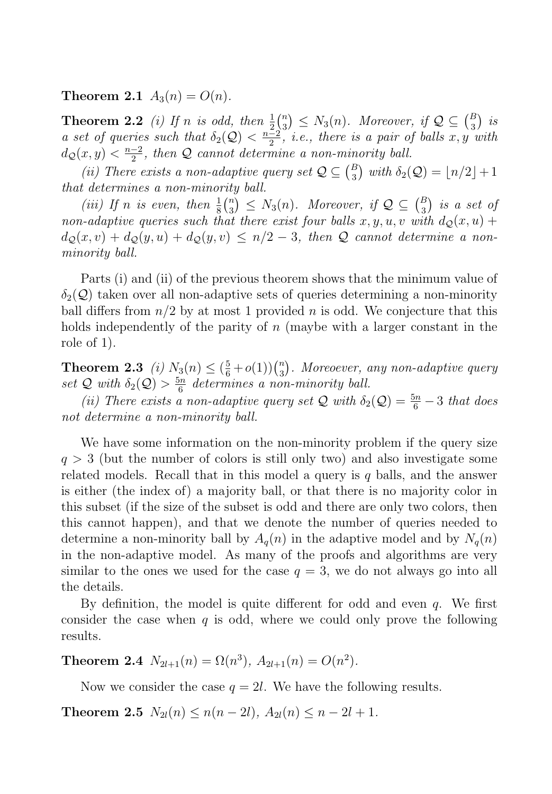**Theorem 2.1**  $A_3(n) = O(n)$ .

**Theorem 2.2** (i) If n is odd, then  $\frac{1}{2}$  $\binom{n}{3}$  $\binom{n}{3} \leq N_3(n)$ . Moreover, if  $\mathcal{Q} \subseteq \binom{B}{3}$  $\binom{B}{3}$  is a set of queries such that  $\delta_2(Q) < \frac{n-2}{2}$ , *i.e.*, there is a pair of balls x, y with  $d_{\mathcal{Q}}(x,y) < \frac{n-2}{2}$ , then  $\mathcal Q$  cannot determine a non-minority ball.

(ii) There exists a non-adaptive query set  $\mathcal{Q} \subseteq \binom{B}{3}$  $\binom{B}{3}$  with  $\delta_2(Q) = \lfloor n/2 \rfloor + 1$ that determines a non-minority ball.

(iii) If n is even, then  $\frac{1}{8} {n \choose 3}$  $\binom{n}{3} \leq N_3(n)$ . Moreover, if  $\mathcal{Q} \subseteq \binom{B}{3}$  $\binom{B}{3}$  is a set of non-adaptive queries such that there exist four balls  $x, y, u, v$  with  $d_{\mathcal{Q}}(x, u)$  +  $d_{\mathcal{Q}}(x, v) + d_{\mathcal{Q}}(y, u) + d_{\mathcal{Q}}(y, v) \leq n/2 - 3$ , then Q cannot determine a nonminority ball.

Parts (i) and (ii) of the previous theorem shows that the minimum value of  $\delta_2(Q)$  taken over all non-adaptive sets of queries determining a non-minority ball differs from  $n/2$  by at most 1 provided n is odd. We conjecture that this holds independently of the parity of  $n$  (maybe with a larger constant in the role of 1).

**Theorem 2.3** (i)  $N_3(n) \leq (\frac{5}{6} + o(1))\binom{n}{3}$  $\binom{n}{3}$ . Moreoever, any non-adaptive query set Q with  $\delta_2(Q) > \frac{5n}{6}$  determines a non-minority ball.

(ii) There exists a non-adaptive query set Q with  $\delta_2(Q) = \frac{5n}{6} - 3$  that does not determine a non-minority ball.

We have some information on the non-minority problem if the query size  $q > 3$  (but the number of colors is still only two) and also investigate some related models. Recall that in this model a query is  $q$  balls, and the answer is either (the index of) a majority ball, or that there is no majority color in this subset (if the size of the subset is odd and there are only two colors, then this cannot happen), and that we denote the number of queries needed to determine a non-minority ball by  $A_q(n)$  in the adaptive model and by  $N_q(n)$ in the non-adaptive model. As many of the proofs and algorithms are very similar to the ones we used for the case  $q = 3$ , we do not always go into all the details.

By definition, the model is quite different for odd and even  $q$ . We first consider the case when  $q$  is odd, where we could only prove the following results.

**Theorem 2.4**  $N_{2l+1}(n) = \Omega(n^3)$ ,  $A_{2l+1}(n) = O(n^2)$ .

Now we consider the case  $q = 2l$ . We have the following results.

**Theorem 2.5**  $N_{2l}(n) \le n(n-2l)$ ,  $A_{2l}(n) \le n-2l+1$ .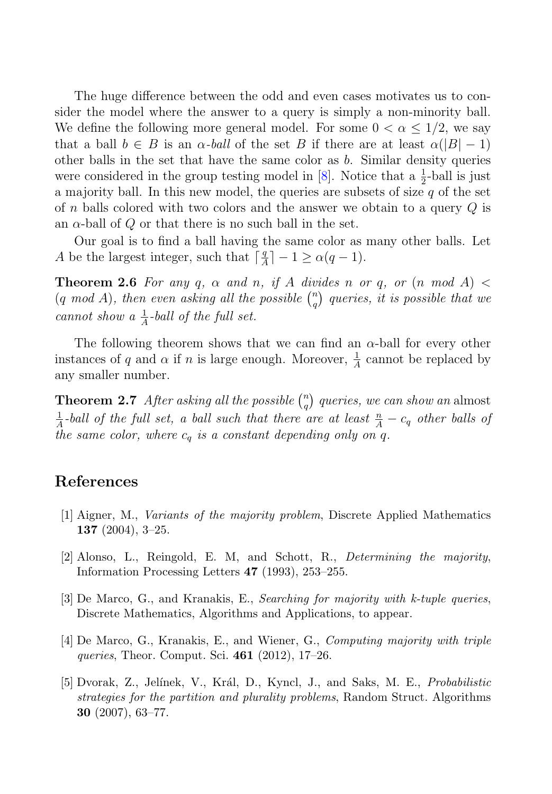The huge difference between the odd and even cases motivates us to consider the model where the answer to a query is simply a non-minority ball. We define the following more general model. For some  $0 < \alpha \leq 1/2$ , we say that a ball  $b \in B$  is an  $\alpha$ -ball of the set B if there are at least  $\alpha(|B|-1)$ other balls in the set that have the same color as  $b$ . Similar density queries were considered in the group testing model in [8]. Notice that a  $\frac{1}{2}$ -ball is just a majority ball. In this new model, the queries are subsets of size  $q$  of the set of n balls colored with two colors and the answer we obtain to a query  $Q$  is an  $\alpha$ -ball of Q or that there is no such ball in the set.

Our goal is to find a ball having the same color as many other balls. Let A be the largest integer, such that  $\lceil \frac{q}{A} \rceil - 1 \ge \alpha(q-1)$ .

**Theorem 2.6** For any q,  $\alpha$  and n, if A divides n or q, or  $(n \mod A)$  $(q \mod A)$ , then even asking all the possible  $\binom{n}{q}$  $\binom{n}{q}$  queries, it is possible that we cannot show a  $\frac{1}{A}$ -ball of the full set.

The following theorem shows that we can find an  $\alpha$ -ball for every other instances of q and  $\alpha$  if n is large enough. Moreover,  $\frac{1}{A}$  cannot be replaced by any smaller number.

**Theorem 2.7** After asking all the possible  $\binom{n}{a}$  $\binom{n}{q}$  queries, we can show an almost  $\frac{1}{A}$ -ball of the full set, a ball such that there are at least  $\frac{n}{A} - c_q$  other balls of the same color, where  $c_q$  is a constant depending only on q.

### **References**

- [1] Aigner, M., *Variants of the majority problem*, Discrete Applied Mathematics **137** (2004), 3–25.
- [2] Alonso, L., Reingold, E. M, and Schott, R., *Determining the majority*, Information Processing Letters **47** (1993), 253–255.
- [3] De Marco, G., and Kranakis, E., *Searching for majority with k-tuple queries*, Discrete Mathematics, Algorithms and Applications, to appear.
- [4] De Marco, G., Kranakis, E., and Wiener, G., *Computing majority with triple queries*, Theor. Comput. Sci. **461** (2012), 17–26.
- [5] Dvorak, Z., Jel´ınek, V., Kr´al, D., Kyncl, J., and Saks, M. E., *Probabilistic strategies for the partition and plurality problems*, Random Struct. Algorithms **30** (2007), 63–77.